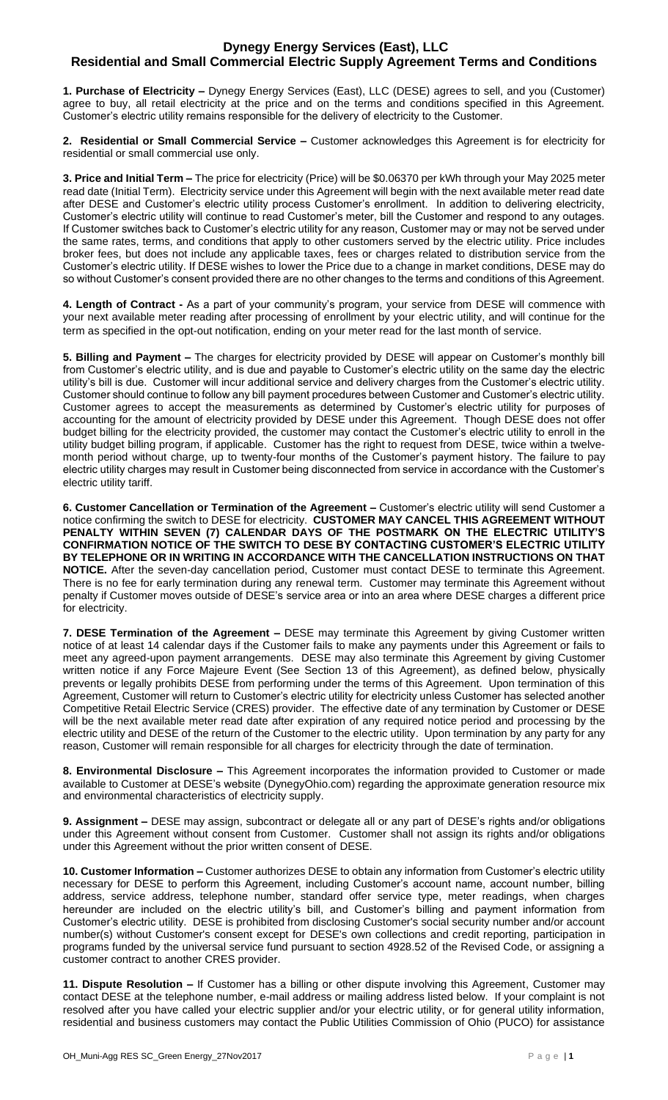## **Dynegy Energy Services (East), LLC Residential and Small Commercial Electric Supply Agreement Terms and Conditions**

**1. Purchase of Electricity –** Dynegy Energy Services (East), LLC (DESE) agrees to sell, and you (Customer) agree to buy, all retail electricity at the price and on the terms and conditions specified in this Agreement. Customer's electric utility remains responsible for the delivery of electricity to the Customer.

**2. Residential or Small Commercial Service –** Customer acknowledges this Agreement is for electricity for residential or small commercial use only.

**3. Price and Initial Term –** The price for electricity (Price) will be \$0.06370 per kWh through your May 2025 meter read date (Initial Term). Electricity service under this Agreement will begin with the next available meter read date after DESE and Customer's electric utility process Customer's enrollment. In addition to delivering electricity, Customer's electric utility will continue to read Customer's meter, bill the Customer and respond to any outages. If Customer switches back to Customer's electric utility for any reason, Customer may or may not be served under the same rates, terms, and conditions that apply to other customers served by the electric utility. Price includes broker fees, but does not include any applicable taxes, fees or charges related to distribution service from the Customer's electric utility. If DESE wishes to lower the Price due to a change in market conditions, DESE may do so without Customer's consent provided there are no other changes to the terms and conditions of this Agreement.

**4. Length of Contract -** As a part of your community's program, your service from DESE will commence with your next available meter reading after processing of enrollment by your electric utility, and will continue for the term as specified in the opt-out notification, ending on your meter read for the last month of service.

**5. Billing and Payment –** The charges for electricity provided by DESE will appear on Customer's monthly bill from Customer's electric utility, and is due and payable to Customer's electric utility on the same day the electric utility's bill is due. Customer will incur additional service and delivery charges from the Customer's electric utility. Customer should continue to follow any bill payment procedures between Customer and Customer's electric utility. Customer agrees to accept the measurements as determined by Customer's electric utility for purposes of accounting for the amount of electricity provided by DESE under this Agreement. Though DESE does not offer budget billing for the electricity provided, the customer may contact the Customer's electric utility to enroll in the utility budget billing program, if applicable. Customer has the right to request from DESE, twice within a twelvemonth period without charge, up to twenty-four months of the Customer's payment history. The failure to pay electric utility charges may result in Customer being disconnected from service in accordance with the Customer's electric utility tariff.

**6. Customer Cancellation or Termination of the Agreement –** Customer's electric utility will send Customer a notice confirming the switch to DESE for electricity. **CUSTOMER MAY CANCEL THIS AGREEMENT WITHOUT**  PENALTY WITHIN SEVEN (7) CALENDAR DAYS OF THE POSTMARK ON THE ELECTRIC UTILITY'S **CONFIRMATION NOTICE OF THE SWITCH TO DESE BY CONTACTING CUSTOMER'S ELECTRIC UTILITY BY TELEPHONE OR IN WRITING IN ACCORDANCE WITH THE CANCELLATION INSTRUCTIONS ON THAT NOTICE.** After the seven-day cancellation period, Customer must contact DESE to terminate this Agreement. There is no fee for early termination during any renewal term. Customer may terminate this Agreement without penalty if Customer moves outside of DESE's service area or into an area where DESE charges a different price for electricity.

**7. DESE Termination of the Agreement –** DESE may terminate this Agreement by giving Customer written notice of at least 14 calendar days if the Customer fails to make any payments under this Agreement or fails to meet any agreed-upon payment arrangements. DESE may also terminate this Agreement by giving Customer written notice if any Force Majeure Event (See Section 13 of this Agreement), as defined below, physically prevents or legally prohibits DESE from performing under the terms of this Agreement. Upon termination of this Agreement, Customer will return to Customer's electric utility for electricity unless Customer has selected another Competitive Retail Electric Service (CRES) provider. The effective date of any termination by Customer or DESE will be the next available meter read date after expiration of any required notice period and processing by the electric utility and DESE of the return of the Customer to the electric utility. Upon termination by any party for any reason, Customer will remain responsible for all charges for electricity through the date of termination.

**8. Environmental Disclosure –** This Agreement incorporates the information provided to Customer or made available to Customer at DESE's website (DynegyOhio.com) regarding the approximate generation resource mix and environmental characteristics of electricity supply.

**9. Assignment –** DESE may assign, subcontract or delegate all or any part of DESE's rights and/or obligations under this Agreement without consent from Customer. Customer shall not assign its rights and/or obligations under this Agreement without the prior written consent of DESE.

**10. Customer Information –** Customer authorizes DESE to obtain any information from Customer's electric utility necessary for DESE to perform this Agreement, including Customer's account name, account number, billing address, service address, telephone number, standard offer service type, meter readings, when charges hereunder are included on the electric utility's bill, and Customer's billing and payment information from Customer's electric utility. DESE is prohibited from disclosing Customer's social security number and/or account number(s) without Customer's consent except for DESE's own collections and credit reporting, participation in programs funded by the universal service fund pursuant to section 4928.52 of the Revised Code, or assigning a customer contract to another CRES provider.

**11. Dispute Resolution –** If Customer has a billing or other dispute involving this Agreement, Customer may contact DESE at the telephone number, e-mail address or mailing address listed below. If your complaint is not resolved after you have called your electric supplier and/or your electric utility, or for general utility information, residential and business customers may contact the Public Utilities Commission of Ohio (PUCO) for assistance